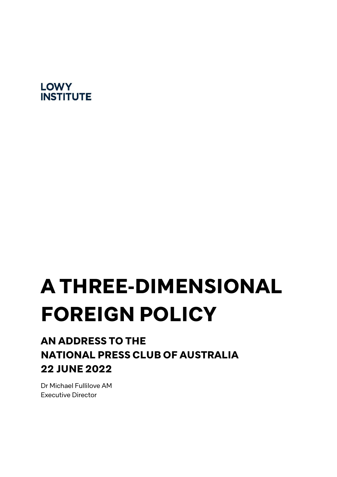# **LOWY INSTITUTE**

# A THREE-DIMENSIONAL FOREIGN POLICY

# AN ADDRESS TO THE NATIONAL PRESS CLUB OF AUSTRALIA 22 JUNE 2022

Dr Michael Fullilove AM Executive Director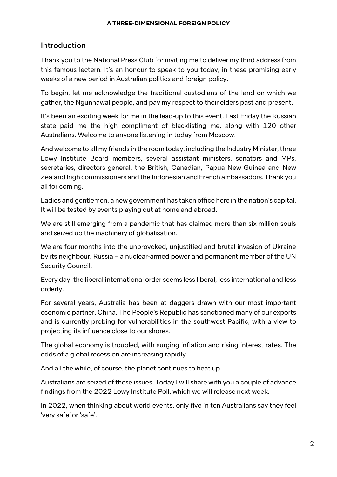## Introduction

Thank you to the National Press Club for inviting me to deliver my third address from this famous lectern. It's an honour to speak to you today, in these promising early weeks of a new period in Australian politics and foreign policy.

To begin, let me acknowledge the traditional custodians of the land on which we gather, the Ngunnawal people, and pay my respect to their elders past and present.

It's been an exciting week for me in the lead-up to this event. Last Friday the Russian state paid me the high compliment of blacklisting me, along with 120 other Australians. Welcome to anyone listening in today from Moscow!

And welcome to all my friends in the room today, including the Industry Minister, three Lowy Institute Board members, several assistant ministers, senators and MPs, secretaries, directors-general, the British, Canadian, Papua New Guinea and New Zealand high commissioners and the Indonesian and French ambassadors. Thank you all for coming.

Ladies and gentlemen, a new government has taken office here in the nation's capital. It will be tested by events playing out at home and abroad.

We are still emerging from a pandemic that has claimed more than six million souls and seized up the machinery of globalisation.

We are four months into the unprovoked, unjustified and brutal invasion of Ukraine by its neighbour, Russia – a nuclear-armed power and permanent member of the UN Security Council.

Every day, the liberal international order seems less liberal, less international and less orderly.

For several years, Australia has been at daggers drawn with our most important economic partner, China. The People's Republic has sanctioned many of our exports and is currently probing for vulnerabilities in the southwest Pacific, with a view to projecting its influence close to our shores.

The global economy is troubled, with surging inflation and rising interest rates. The odds of a global recession are increasing rapidly.

And all the while, of course, the planet continues to heat up.

Australians are seized of these issues. Today I will share with you a couple of advance findings from the 2022 Lowy Institute Poll, which we will release next week.

In 2022, when thinking about world events, only five in ten Australians say they feel 'very safe' or 'safe'.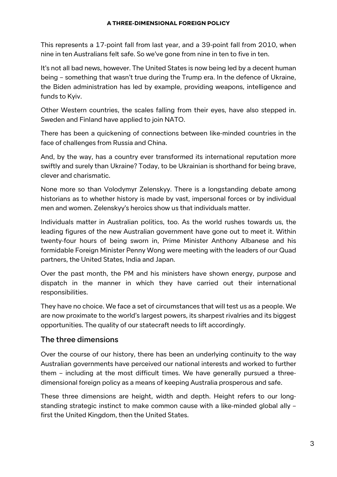This represents a 17-point fall from last year, and a 39-point fall from 2010, when nine in ten Australians felt safe. So we've gone from nine in ten to five in ten.

It's not all bad news, however. The United States is now being led by a decent human being – something that wasn't true during the Trump era. In the defence of Ukraine, the Biden administration has led by example, providing weapons, intelligence and funds to Kyiv.

Other Western countries, the scales falling from their eyes, have also stepped in. Sweden and Finland have applied to join NATO.

There has been a quickening of connections between like-minded countries in the face of challenges from Russia and China.

And, by the way, has a country ever transformed its international reputation more swiftly and surely than Ukraine? Today, to be Ukrainian is shorthand for being brave, clever and charismatic.

None more so than Volodymyr Zelenskyy. There is a longstanding debate among historians as to whether history is made by vast, impersonal forces or by individual men and women. Zelenskyy's heroics show us that individuals matter.

Individuals matter in Australian politics, too. As the world rushes towards us, the leading figures of the new Australian government have gone out to meet it. Within twenty-four hours of being sworn in, Prime Minister Anthony Albanese and his formidable Foreign Minister Penny Wong were meeting with the leaders of our Quad partners, the United States, India and Japan.

Over the past month, the PM and his ministers have shown energy, purpose and dispatch in the manner in which they have carried out their international responsibilities.

They have no choice. We face a set of circumstances that will test us as a people. We are now proximate to the world's largest powers, its sharpest rivalries and its biggest opportunities. The quality of our statecraft needs to lift accordingly.

## The three dimensions

Over the course of our history, there has been an underlying continuity to the way Australian governments have perceived our national interests and worked to further them – including at the most difficult times. We have generally pursued a threedimensional foreign policy as a means of keeping Australia prosperous and safe.

These three dimensions are height, width and depth. Height refers to our longstanding strategic instinct to make common cause with a like-minded global ally – first the United Kingdom, then the United States.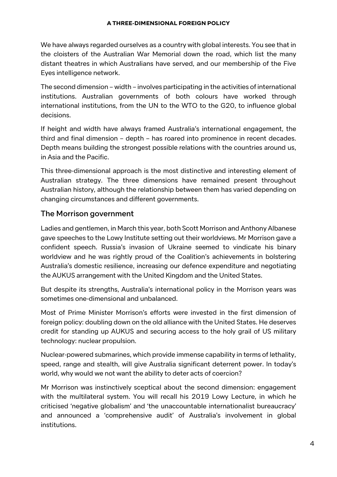We have always regarded ourselves as a country with global interests. You see that in the cloisters of the Australian War Memorial down the road, which list the many distant theatres in which Australians have served, and our membership of the Five Eyes intelligence network.

The second dimension – width – involves participating in the activities of international institutions. Australian governments of both colours have worked through international institutions, from the UN to the WTO to the G20, to influence global decisions.

If height and width have always framed Australia's international engagement, the third and final dimension – depth – has roared into prominence in recent decades. Depth means building the strongest possible relations with the countries around us, in Asia and the Pacific.

This three-dimensional approach is the most distinctive and interesting element of Australian strategy. The three dimensions have remained present throughout Australian history, although the relationship between them has varied depending on changing circumstances and different governments.

# The Morrison government

Ladies and gentlemen, in March this year, both Scott Morrison and Anthony Albanese gave speeches to the Lowy Institute setting out their worldviews. Mr Morrison gave a confident speech. Russia's invasion of Ukraine seemed to vindicate his binary worldview and he was rightly proud of the Coalition's achievements in bolstering Australia's domestic resilience, increasing our defence expenditure and negotiating the AUKUS arrangement with the United Kingdom and the United States.

But despite its strengths, Australia's international policy in the Morrison years was sometimes one-dimensional and unbalanced.

Most of Prime Minister Morrison's efforts were invested in the first dimension of foreign policy: doubling down on the old alliance with the United States. He deserves credit for standing up AUKUS and securing access to the holy grail of US military technology: nuclear propulsion.

Nuclear-powered submarines, which provide immense capability in terms of lethality, speed, range and stealth, will give Australia significant deterrent power. In today's world, why would we not want the ability to deter acts of coercion?

Mr Morrison was instinctively sceptical about the second dimension: engagement with the multilateral system. You will recall his 2019 Lowy Lecture, in which he criticised 'negative globalism' and 'the unaccountable internationalist bureaucracy' and announced a 'comprehensive audit' of Australia's involvement in global institutions.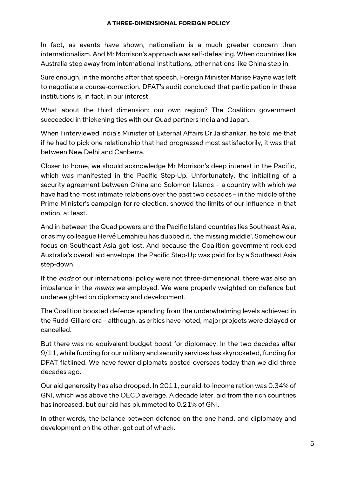In fact, as events have shown, nationalism is a much greater concern than internationalism. And Mr Morrison's approach was self-defeating. When countries like Australia step away from international institutions, other nations like China step in.

Sure enough, in the months after that speech, Foreign Minister Marise Payne was left to negotiate a course-correction. DFAT's audit concluded that participation in these institutions is, in fact, in our interest.

What about the third dimension: our own region? The Coalition government succeeded in thickening ties with our Quad partners India and Japan.

When I interviewed India's Minister of External Affairs Dr Jaishankar, he told me that if he had to pick one relationship that had progressed most satisfactorily, it was that between New Delhi and Canberra.

Closer to home, we should acknowledge Mr Morrison's deep interest in the Pacific, which was manifested in the Pacific Step-Up. Unfortunately, the initialling of a security agreement between China and Solomon Islands – a country with which we have had the most intimate relations over the past two decades – in the middle of the Prime Minister's campaign for re-election, showed the limits of our influence in that nation, at least.

And in between the Quad powers and the Pacific Island countries lies Southeast Asia, or as my colleague Hervé Lemahieu has dubbed it, 'the missing middle'. Somehow our focus on Southeast Asia got lost. And because the Coalition government reduced Australia's overall aid envelope, the Pacific Step-Up was paid for by a Southeast Asia step-down.

If the *ends* of our international policy were not three-dimensional, there was also an imbalance in the *means* we employed. We were properly weighted on defence but underweighted on diplomacy and development.

The Coalition boosted defence spending from the underwhelming levels achieved in the Rudd-Gillard era – although, as critics have noted, major projects were delayed or cancelled.

But there was no equivalent budget boost for diplomacy. In the two decades after 9/11, while funding for our military and security services has skyrocketed, funding for DFAT flatlined. We have fewer diplomats posted overseas today than we did three decades ago.

Our aid generosity has also drooped. In 2011, our aid-to-income ration was 0.34% of GNI, which was above the OECD average. A decade later, aid from the rich countries has increased, but our aid has plummeted to 0.21% of GNI.

In other words, the balance between defence on the one hand, and diplomacy and development on the other, got out of whack.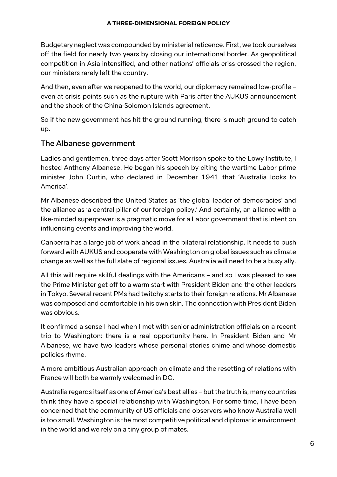Budgetary neglect was compounded by ministerial reticence. First, we took ourselves off the field for nearly two years by closing our international border. As geopolitical competition in Asia intensified, and other nations' officials criss-crossed the region, our ministers rarely left the country.

And then, even after we reopened to the world, our diplomacy remained low-profile – even at crisis points such as the rupture with Paris after the AUKUS announcement and the shock of the China-Solomon Islands agreement.

So if the new government has hit the ground running, there is much ground to catch up.

# The Albanese government

Ladies and gentlemen, three days after Scott Morrison spoke to the Lowy Institute, I hosted Anthony Albanese. He began his speech by citing the wartime Labor prime minister John Curtin, who declared in December 1941 that 'Australia looks to America'.

Mr Albanese described the United States as 'the global leader of democracies' and the alliance as 'a central pillar of our foreign policy.' And certainly, an alliance with a like-minded superpower is a pragmatic move for a Labor government that is intent on influencing events and improving the world.

Canberra has a large job of work ahead in the bilateral relationship. It needs to push forward with AUKUS and cooperate with Washington on global issues such as climate change as well as the full slate of regional issues. Australia will need to be a busy ally.

All this will require skilful dealings with the Americans – and so I was pleased to see the Prime Minister get off to a warm start with President Biden and the other leaders in Tokyo. Several recent PMs had twitchy starts to their foreign relations. Mr Albanese was composed and comfortable in his own skin. The connection with President Biden was obvious.

It confirmed a sense I had when I met with senior administration officials on a recent trip to Washington: there is a real opportunity here. In President Biden and Mr Albanese, we have two leaders whose personal stories chime and whose domestic policies rhyme.

A more ambitious Australian approach on climate and the resetting of relations with France will both be warmly welcomed in DC.

Australia regards itself as one of America's best allies – but the truth is, many countries think they have a special relationship with Washington. For some time, I have been concerned that the community of US officials and observers who know Australia well is too small. Washington is the most competitive political and diplomatic environment in the world and we rely on a tiny group of mates.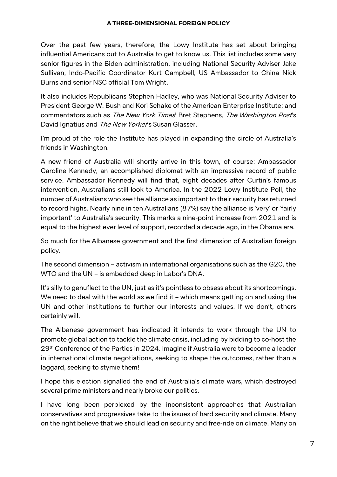Over the past few years, therefore, the Lowy Institute has set about bringing influential Americans out to Australia to get to know us. This list includes some very senior figures in the Biden administration, including National Security Adviser Jake Sullivan, Indo-Pacific Coordinator Kurt Campbell, US Ambassador to China Nick Burns and senior NSC official Tom Wright.

It also includes Republicans Stephen Hadley, who was National Security Adviser to President George W. Bush and Kori Schake of the American Enterprise Institute; and commentators such as The New York Times' Bret Stephens, The Washington Post's David Ignatius and The New Yorker's Susan Glasser.

I'm proud of the role the Institute has played in expanding the circle of Australia's friends in Washington.

A new friend of Australia will shortly arrive in this town, of course: Ambassador Caroline Kennedy, an accomplished diplomat with an impressive record of public service. Ambassador Kennedy will find that, eight decades after Curtin's famous intervention, Australians still look to America. In the 2022 Lowy Institute Poll, the number of Australians who see the alliance as important to their security has returned to record highs. Nearly nine in ten Australians (87%) say the alliance is 'very' or 'fairly important' to Australia's security. This marks a nine-point increase from 2021 and is equal to the highest ever level of support, recorded a decade ago, in the Obama era.

So much for the Albanese government and the first dimension of Australian foreign policy.

The second dimension – activism in international organisations such as the G20, the WTO and the UN – is embedded deep in Labor's DNA.

It's silly to genuflect to the UN, just as it's pointless to obsess about its shortcomings. We need to deal with the world as we find it – which means getting on and using the UN and other institutions to further our interests and values. If we don't, others certainly will.

The Albanese government has indicated it intends to work through the UN to promote global action to tackle the climate crisis, including by bidding to co-host the 29th Conference of the Parties in 2024. Imagine if Australia were to become a leader in international climate negotiations, seeking to shape the outcomes, rather than a laggard, seeking to stymie them!

I hope this election signalled the end of Australia's climate wars, which destroyed several prime ministers and nearly broke our politics.

I have long been perplexed by the inconsistent approaches that Australian conservatives and progressives take to the issues of hard security and climate. Many on the right believe that we should lead on security and free-ride on climate. Many on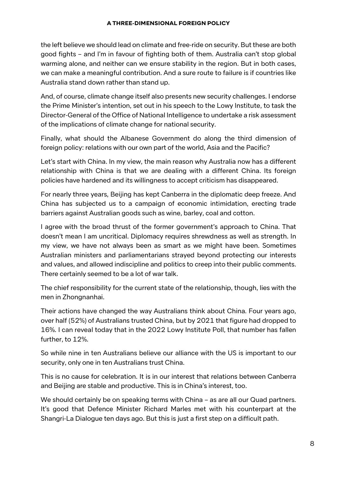the left believe we should lead on climate and free-ride on security. But these are both good fights – and I'm in favour of fighting both of them. Australia can't stop global warming alone, and neither can we ensure stability in the region. But in both cases, we can make a meaningful contribution. And a sure route to failure is if countries like Australia stand down rather than stand up.

And, of course, climate change itself also presents new security challenges. I endorse the Prime Minister's intention, set out in his speech to the Lowy Institute, to task the Director-General of the Office of National Intelligence to undertake a risk assessment of the implications of climate change for national security.

Finally, what should the Albanese Government do along the third dimension of foreign policy: relations with our own part of the world, Asia and the Pacific?

Let's start with China. In my view, the main reason why Australia now has a different relationship with China is that we are dealing with a different China. Its foreign policies have hardened and its willingness to accept criticism has disappeared.

For nearly three years, Beijing has kept Canberra in the diplomatic deep freeze. And China has subjected us to a campaign of economic intimidation, erecting trade barriers against Australian goods such as wine, barley, coal and cotton.

I agree with the broad thrust of the former government's approach to China. That doesn't mean I am uncritical. Diplomacy requires shrewdness as well as strength. In my view, we have not always been as smart as we might have been. Sometimes Australian ministers and parliamentarians strayed beyond protecting our interests and values, and allowed indiscipline and politics to creep into their public comments. There certainly seemed to be a lot of war talk.

The chief responsibility for the current state of the relationship, though, lies with the men in Zhongnanhai.

Their actions have changed the way Australians think about China. Four years ago, over half (52%) of Australians trusted China, but by 2021 that figure had dropped to 16%. I can reveal today that in the 2022 Lowy Institute Poll, that number has fallen further, to 12%.

So while nine in ten Australians believe our alliance with the US is important to our security, only one in ten Australians trust China.

This is no cause for celebration. It is in our interest that relations between Canberra and Beijing are stable and productive. This is in China's interest, too.

We should certainly be on speaking terms with China – as are all our Quad partners. It's good that Defence Minister Richard Marles met with his counterpart at the Shangri-La Dialogue ten days ago. But this is just a first step on a difficult path.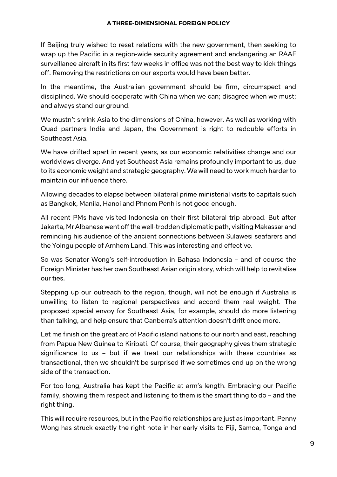If Beijing truly wished to reset relations with the new government, then seeking to wrap up the Pacific in a region-wide security agreement and endangering an RAAF surveillance aircraft in its first few weeks in office was not the best way to kick things off. Removing the restrictions on our exports would have been better.

In the meantime, the Australian government should be firm, circumspect and disciplined. We should cooperate with China when we can; disagree when we must; and always stand our ground.

We mustn't shrink Asia to the dimensions of China, however. As well as working with Quad partners India and Japan, the Government is right to redouble efforts in Southeast Asia.

We have drifted apart in recent years, as our economic relativities change and our worldviews diverge. And yet Southeast Asia remains profoundly important to us, due to its economic weight and strategic geography. We will need to work much harder to maintain our influence there.

Allowing decades to elapse between bilateral prime ministerial visits to capitals such as Bangkok, Manila, Hanoi and Phnom Penh is not good enough.

All recent PMs have visited Indonesia on their first bilateral trip abroad. But after Jakarta, Mr Albanese went off the well-trodden diplomatic path, visiting Makassar and reminding his audience of the ancient connections between Sulawesi seafarers and the Yolngu people of Arnhem Land. This was interesting and effective.

So was Senator Wong's self-introduction in Bahasa Indonesia – and of course the Foreign Minister has her own Southeast Asian origin story, which will help to revitalise our ties.

Stepping up our outreach to the region, though, will not be enough if Australia is unwilling to listen to regional perspectives and accord them real weight. The proposed special envoy for Southeast Asia, for example, should do more listening than talking, and help ensure that Canberra's attention doesn't drift once more.

Let me finish on the great arc of Pacific island nations to our north and east, reaching from Papua New Guinea to Kiribati. Of course, their geography gives them strategic significance to us – but if we treat our relationships with these countries as transactional, then we shouldn't be surprised if we sometimes end up on the wrong side of the transaction.

For too long, Australia has kept the Pacific at arm's length. Embracing our Pacific family, showing them respect and listening to them is the smart thing to do – and the right thing.

This will require resources, but in the Pacific relationships are just as important. Penny Wong has struck exactly the right note in her early visits to Fiji, Samoa, Tonga and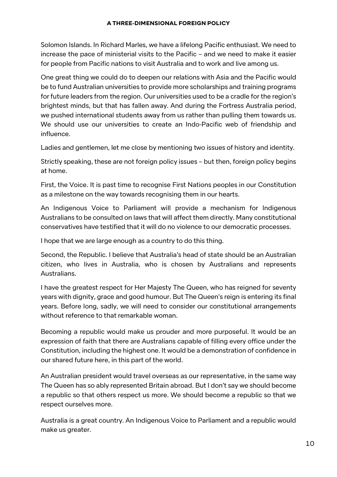Solomon Islands. In Richard Marles, we have a lifelong Pacific enthusiast. We need to increase the pace of ministerial visits to the Pacific – and we need to make it easier for people from Pacific nations to visit Australia and to work and live among us.

One great thing we could do to deepen our relations with Asia and the Pacific would be to fund Australian universities to provide more scholarships and training programs for future leaders from the region. Our universities used to be a cradle for the region's brightest minds, but that has fallen away. And during the Fortress Australia period, we pushed international students away from us rather than pulling them towards us. We should use our universities to create an Indo-Pacific web of friendship and influence.

Ladies and gentlemen, let me close by mentioning two issues of history and identity.

Strictly speaking, these are not foreign policy issues – but then, foreign policy begins at home.

First, the Voice. It is past time to recognise First Nations peoples in our Constitution as a milestone on the way towards recognising them in our hearts.

An Indigenous Voice to Parliament will provide a mechanism for Indigenous Australians to be consulted on laws that will affect them directly. Many constitutional conservatives have testified that it will do no violence to our democratic processes.

I hope that we are large enough as a country to do this thing.

Second, the Republic. I believe that Australia's head of state should be an Australian citizen, who lives in Australia, who is chosen by Australians and represents Australians.

I have the greatest respect for Her Majesty The Queen, who has reigned for seventy years with dignity, grace and good humour. But The Queen's reign is entering its final years. Before long, sadly, we will need to consider our constitutional arrangements without reference to that remarkable woman.

Becoming a republic would make us prouder and more purposeful. It would be an expression of faith that there are Australians capable of filling every office under the Constitution, including the highest one. It would be a demonstration of confidence in our shared future here, in this part of the world.

An Australian president would travel overseas as our representative, in the same way The Queen has so ably represented Britain abroad. But I don't say we should become a republic so that others respect us more. We should become a republic so that we respect ourselves more.

Australia is a great country. An Indigenous Voice to Parliament and a republic would make us greater.